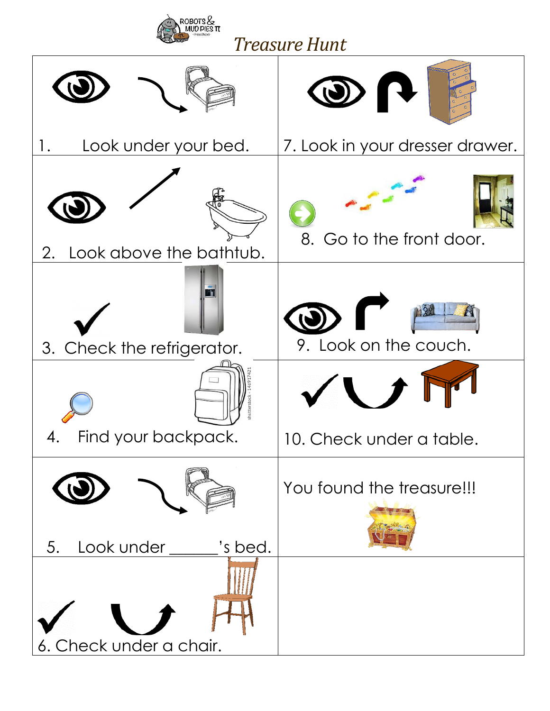